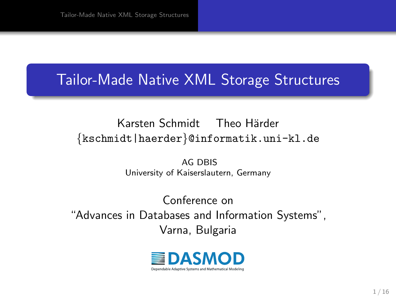### Karsten Schmidt Theo Härder {kschmidt|haerder}@informatik.uni-kl.de

AG DBIS University of Kaiserslautern, Germany

Conference on "Advances in Databases and Information Systems", Varna, Bulgaria

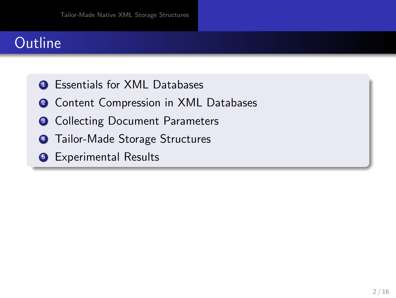## **Outline**

- **Q** Essentials for XML Databases
- <sup>2</sup> Content Compression in XML Databases
- <sup>3</sup> Collecting Document Parameters
- **4 Tailor-Made Storage Structures**
- **6** Experimental Results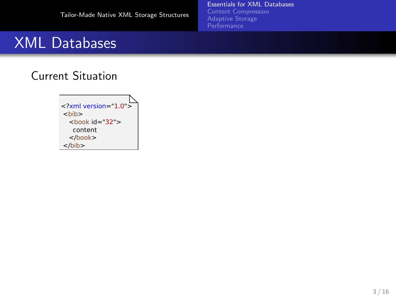#### [Essentials for XML Databases](#page-7-0) [Content Compression](#page-14-0)

<span id="page-2-0"></span>

### XML Databases

### Current Situation

$$
\langle 2 \rangle_{\text{min}} \langle 2 \rangle
$$
\n
$$
\langle 2 \rangle_{\text{min}} \langle 2 \rangle
$$
\n
$$
\langle 2 \rangle_{\text{max}} \langle 2 \rangle
$$
\n
$$
\langle 2 \rangle_{\text{max}} \langle 2 \rangle
$$
\n
$$
\langle 2 \rangle_{\text{max}} \langle 2 \rangle
$$
\n
$$
\langle 2 \rangle_{\text{min}} \langle 2 \rangle
$$
\n
$$
\langle 2 \rangle_{\text{min}} \langle 2 \rangle
$$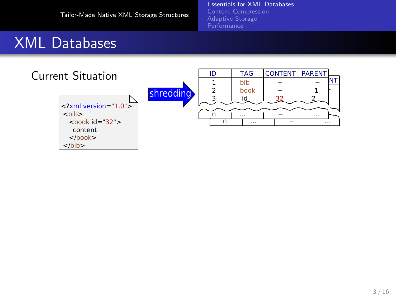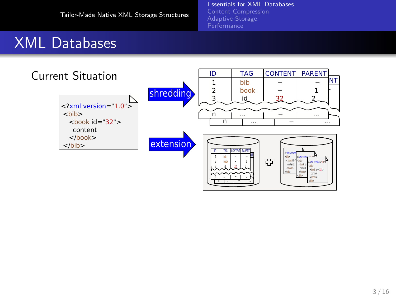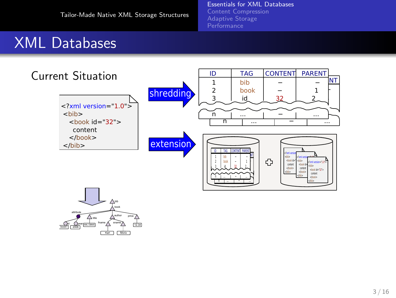Karl Mono

[Essentials for XML Databases](#page-7-0) [Content Compression](#page-14-0)

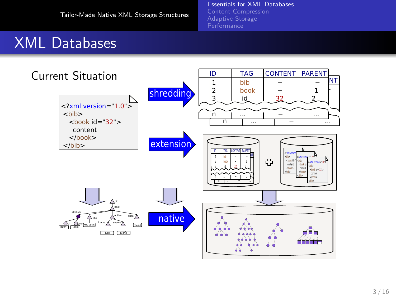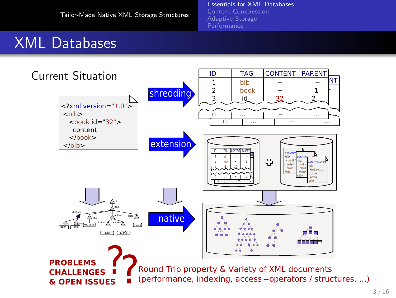<span id="page-7-0"></span>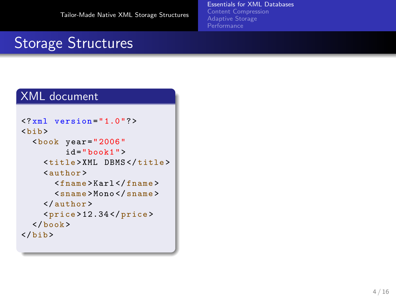## Storage Structures

#### XML document

```
\langle ? \texttt{xml version} = "1.0" ? \rangle<hih><book year = "2006"
           id="book1"<title > XML DBMS </ title >
     <author >
        <fname > Karl </ fname >
        <sname > Mono </ sname >
     </ author >
     <price > 12.34 </price >
  </ book >
\langle/bib>
```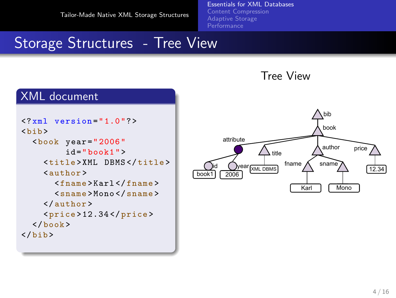[Essentials for XML Databases](#page-2-0) [Content Compression](#page-14-0)

## Storage Structures - Tree View





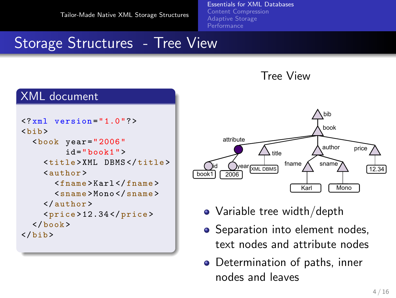[Essentials for XML Databases](#page-2-0) [Content Compression](#page-14-0)

## Storage Structures - Tree View





Tree View

- Variable tree width/depth
- Separation into element nodes, text nodes and attribute nodes
- Determination of paths, inner nodes and leaves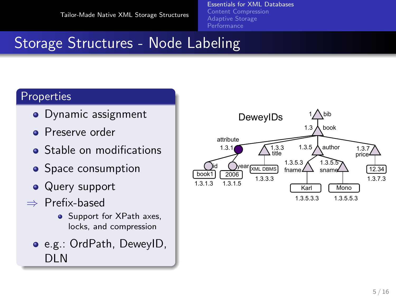#### [Essentials for XML Databases](#page-2-0) [Content Compression](#page-14-0)

## Storage Structures - Node Labeling

#### **Properties**

- Dynamic assignment
- **•** Preserve order
- **•** Stable on modifications
- Space consumption
- Query support
- ⇒ Prefix-based
	- Support for XPath axes, locks, and compression
	- e.g.: OrdPath, DeweyID, DLN

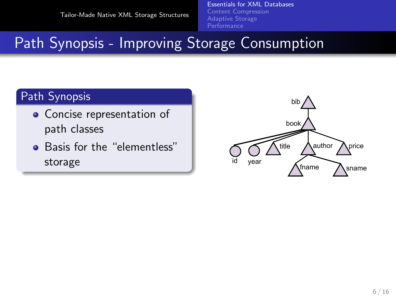[Essentials for XML Databases](#page-2-0) [Content Compression](#page-14-0)

## Path Synopsis - Improving Storage Consumption

#### Path Synopsis

- **•** Concise representation of path classes
- **•** Basis for the "elementless" storage

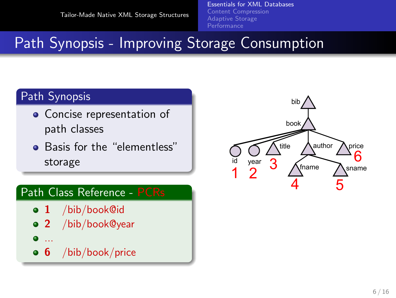[Essentials for XML Databases](#page-2-0) [Content Compression](#page-14-0) **[Performance](#page-39-0)** 

## Path Synopsis - Improving Storage Consumption

#### Path Synopsis

- **•** Concise representation of path classes
- **•** Basis for the "elementless" storage

#### Path Class Reference - PCRs

- 1 /bib/book@id
- 2 /bib/book@year
- $\bullet$
- 

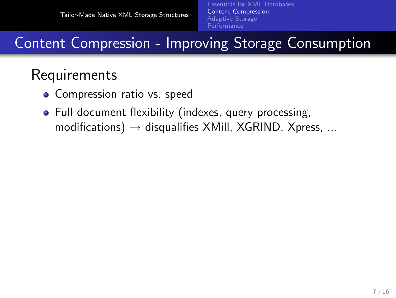- Compression ratio vs. speed
- <span id="page-14-0"></span>Full document flexibility (indexes, query processing, modifications)  $\rightarrow$  disqualifies XMill, XGRIND, Xpress, ...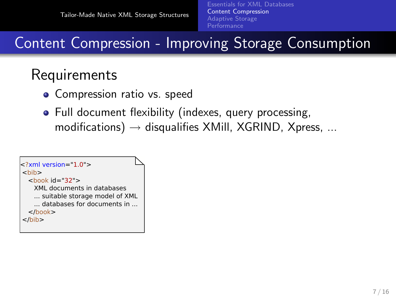- **•** Compression ratio vs. speed
- Full document flexibility (indexes, query processing, modifications)  $\rightarrow$  disqualifies XMill, XGRIND, Xpress, ...

```
<?xml version="1.0">
<hih><book id="32"> XML documents in databases 
     ... suitable storage model of XML
     ... databases for documents in ...
  < /hook ></bib>
```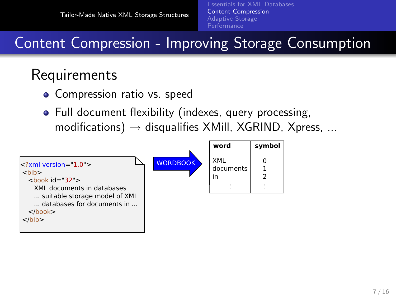- Compression ratio vs. speed
- Full document flexibility (indexes, query processing, modifications)  $\rightarrow$  disqualifies XMill, XGRIND, Xpress, ...

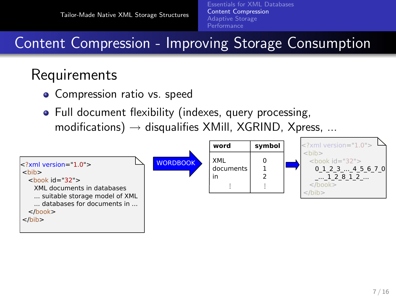Content Compression - Improving Storage Consumption

- Compression ratio vs. speed
- Full document flexibility (indexes, query processing, modifications)  $\rightarrow$  disqualifies XMill, XGRIND, Xpress, ...

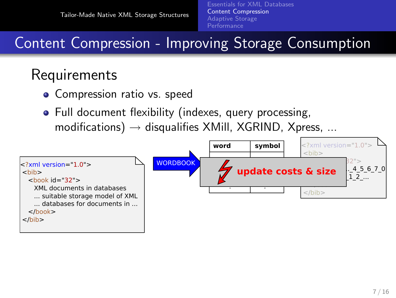- Compression ratio vs. speed
- Full document flexibility (indexes, query processing, modifications)  $\rightarrow$  disqualifies XMill, XGRIND, Xpress, ...

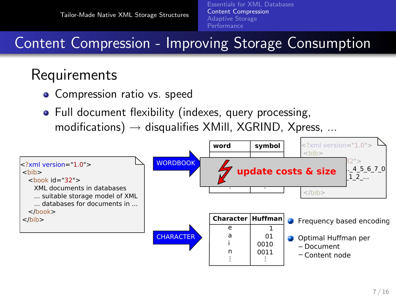- Compression ratio vs. speed
- Full document flexibility (indexes, query processing, modifications)  $\rightarrow$  disqualifies XMill, XGRIND, Xpress, ...

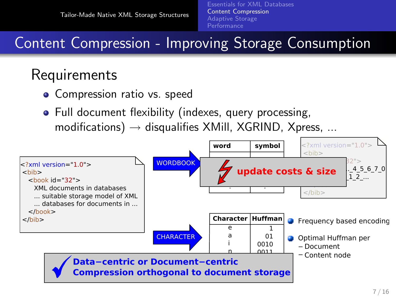- Compression ratio vs. speed
- <span id="page-20-0"></span>• Full document flexibility (indexes, query processing, modifications)  $\rightarrow$  disqualifies XMill, XGRIND, Xpress, ...

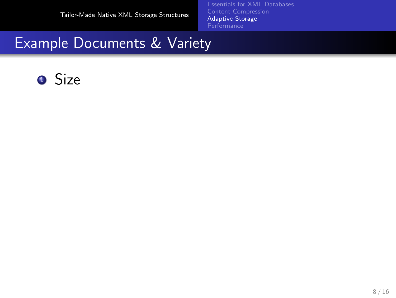<span id="page-21-0"></span>[Essentials for XML Databases](#page-2-0) [Content Compression](#page-14-0) [Adaptive Storage](#page-27-0)

## Example Documents & Variety

### **O** Size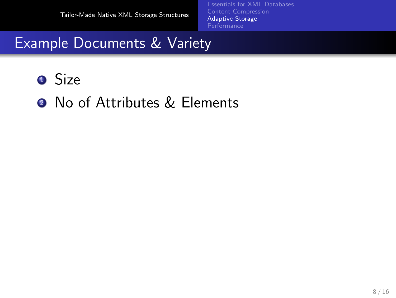[Essentials for XML Databases](#page-2-0) [Content Compression](#page-14-0) [Adaptive Storage](#page-27-0)

- **o** Size
- No of Attributes & Elements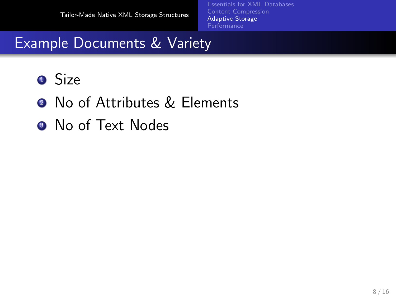[Essentials for XML Databases](#page-2-0) [Content Compression](#page-14-0) [Adaptive Storage](#page-27-0)

- **1** Size
- No of Attributes & Elements
- **3** No of Text Nodes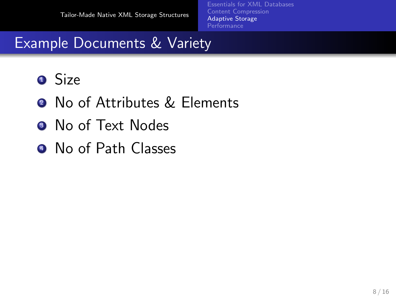[Essentials for XML Databases](#page-2-0) [Content Compression](#page-14-0) [Adaptive Storage](#page-27-0) **[Performance](#page-39-0)** 

- **1** Size
- No of Attributes & Elements
- **3** No of Text Nodes
- No of Path Classes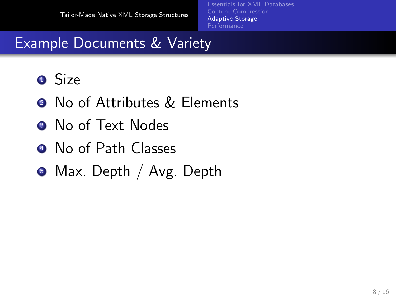[Essentials for XML Databases](#page-2-0) [Content Compression](#page-14-0) [Adaptive Storage](#page-27-0) **[Performance](#page-39-0)** 

- **9** Size
- No of Attributes & Elements
- No of Text Nodes
- No of Path Classes
- Max. Depth / Avg. Depth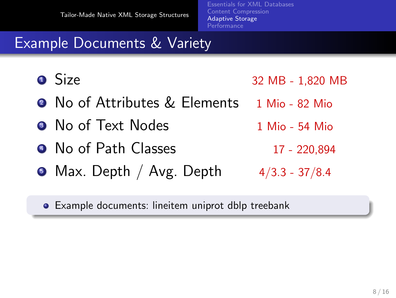[Essentials for XML Databases](#page-2-0) [Content Compression](#page-14-0) [Adaptive Storage](#page-27-0) **[Performance](#page-39-0)** 

### Example Documents & Variety

- Size 32 MB 1,820 MB
- **2** No of Attributes & Elements 1 Mio 82 Mio
- No of Text Nodes 1 Mio 54 Mio
- No of Path Classes 17 220,894
- Max. Depth / Avg. Depth  $4/3.3 37/8.4$

Example documents: lineitem uniprot dblp treebank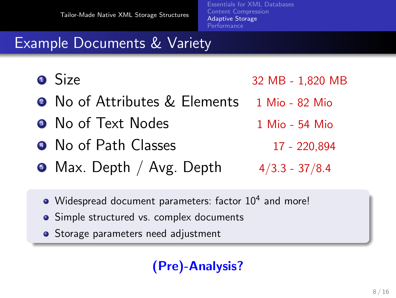[Essentials for XML Databases](#page-2-0) [Content Compression](#page-14-0) [Adaptive Storage](#page-21-0) **[Performance](#page-39-0)** 

## Example Documents & Variety

- Size 32 MB 1,820 MB
- No of Attributes & Elements 1 Mio 82 Mio
- <sup>3</sup> No of Text Nodes 1 Mio 54 Mio
- No of Path Classes 17 220,894
- Max. Depth / Avg. Depth  $4/3.3 37/8.4$ 
	- Widespread document parameters: factor  $10^4$  and more!
	- Simple structured vs. complex documents
	- Storage parameters need adjustment

### <span id="page-27-0"></span>(Pre)-Analysis?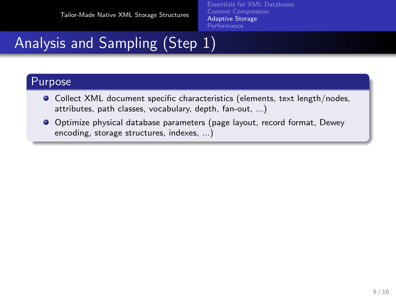[Essentials for XML Databases](#page-2-0) [Content Compression](#page-14-0) [Adaptive Storage](#page-21-0) **[Performance](#page-39-0)** 

## Analysis and Sampling (Step 1)

#### Purpose

- Collect XML document specific characteristics (elements, text length/nodes, attributes, path classes, vocabulary, depth, fan-out, ...)
- Optimize physical database parameters (page layout, record format, Dewey encoding, storage structures, indexes, ...)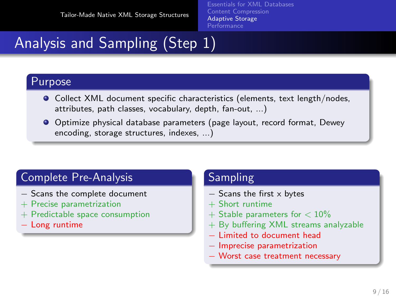[Essentials for XML Databases](#page-2-0) [Content Compression](#page-14-0) [Adaptive Storage](#page-21-0) **[Performance](#page-39-0)** 

## Analysis and Sampling (Step 1)

#### Purpose

- Collect XML document specific characteristics (elements, text length/nodes, attributes, path classes, vocabulary, depth, fan-out, ...)
- Optimize physical database parameters (page layout, record format, Dewey encoding, storage structures, indexes, ...)

#### Complete Pre-Analysis

- − Scans the complete document
- + Precise parametrization
- + Predictable space consumption
- − Long runtime

#### Sampling

- − Scans the first x bytes
- Short runtime
- $+$  Stable parameters for  $< 10\%$
- + By buffering XML streams analyzable
- − Limited to document head
- − Imprecise parametrization
- − Worst case treatment necessary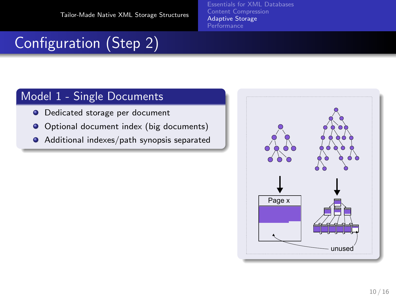[Essentials for XML Databases](#page-2-0) [Content Compression](#page-14-0) [Adaptive Storage](#page-21-0)

# Configuration (Step 2)

#### Model 1 - Single Documents

- **O** Dedicated storage per document
- Optional document index (big documents)
- Additional indexes/path synopsis separated

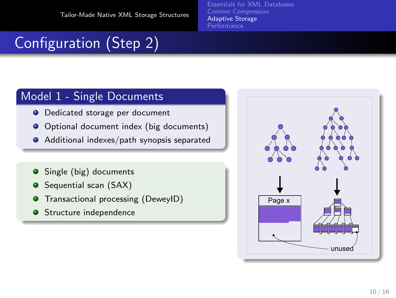[Essentials for XML Databases](#page-2-0) [Content Compression](#page-14-0) [Adaptive Storage](#page-21-0) **[Performance](#page-39-0)** 

# Configuration (Step 2)

#### Model 1 - Single Documents

- **O** Dedicated storage per document
- Optional document index (big documents)
- Additional indexes/path synopsis separated
- $\bullet$ Single (big) documents
- Sequential scan (SAX)  $\bullet$
- $\bullet$ Transactional processing (DeweyID)
- $\bullet$ Structure independence

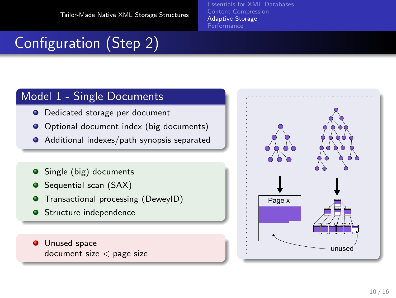[Essentials for XML Databases](#page-2-0) [Content Compression](#page-14-0) [Adaptive Storage](#page-21-0) **[Performance](#page-39-0)** 

# Configuration (Step 2)

#### Model 1 - Single Documents

- **O** Dedicated storage per document
- Optional document index (big documents)
- Additional indexes/path synopsis separated
- Single (big) documents
- Sequential scan (SAX)  $\bullet$
- Transactional processing (DeweyID)  $\bullet$
- **•** Structure independence
- **O** Unused space document size < page size

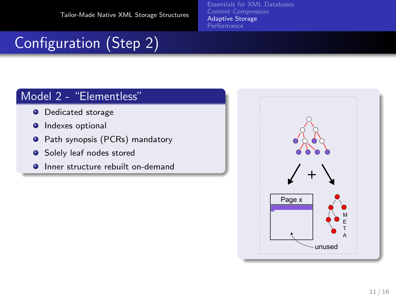[Essentials for XML Databases](#page-2-0) [Content Compression](#page-14-0) [Adaptive Storage](#page-21-0)

# Configuration (Step 2)

#### Model 2 - "Elementless"

- **O** Dedicated storage
- **O** Indexes optional
- $\bullet$ Path synopsis (PCRs) mandatory
- **O** Solely leaf nodes stored
- **O** Inner structure rebuilt on-demand

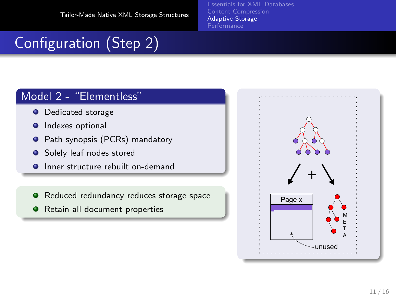[Essentials for XML Databases](#page-2-0) [Content Compression](#page-14-0) [Adaptive Storage](#page-21-0)

# Configuration (Step 2)

#### Model 2 - "Elementless"

- **O** Dedicated storage
- **O** Indexes optional
- $\bullet$ Path synopsis (PCRs) mandatory
- **O** Solely leaf nodes stored
- **O** Inner structure rebuilt on-demand
- Reduced redundancy reduces storage space  $\bullet$
- **•** Retain all document properties

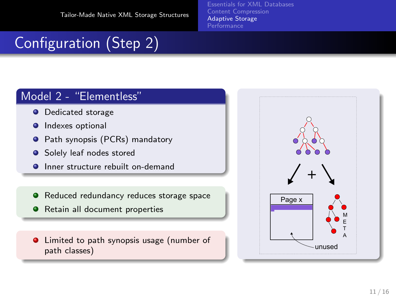[Essentials for XML Databases](#page-2-0) [Content Compression](#page-14-0) [Adaptive Storage](#page-21-0) **[Performance](#page-39-0)** 

# Configuration (Step 2)

#### Model 2 - "Elementless"

- **O** Dedicated storage
- **O** Indexes optional
- $\bullet$ Path synopsis (PCRs) mandatory
- **O** Solely leaf nodes stored
- **O** Inner structure rebuilt on-demand
- **•** Reduced redundancy reduces storage space
- **•** Retain all document properties

● Limited to path synopsis usage (number of path classes)

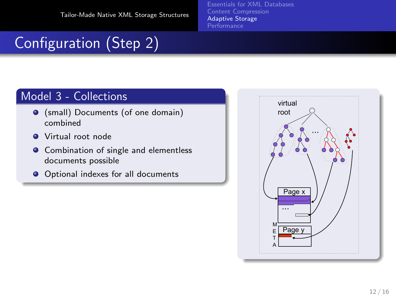[Essentials for XML Databases](#page-2-0) [Content Compression](#page-14-0) [Adaptive Storage](#page-21-0)

# Configuration (Step 2)

#### Model 3 - Collections

- (small) Documents (of one domain) combined
- **•** Virtual root node
- **•** Combination of single and elementless documents possible
- Optional indexes for all documents

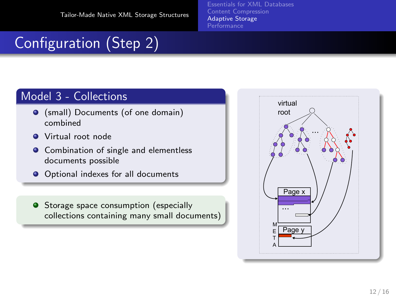[Essentials for XML Databases](#page-2-0) [Content Compression](#page-14-0) [Adaptive Storage](#page-21-0) **[Performance](#page-39-0)** 

# Configuration (Step 2)

#### Model 3 - Collections

- (small) Documents (of one domain) combined
- **Wirtual root node**
- **O** Combination of single and elementless documents possible
- **O** Optional indexes for all documents
- Storage space consumption (especially collections containing many small documents)

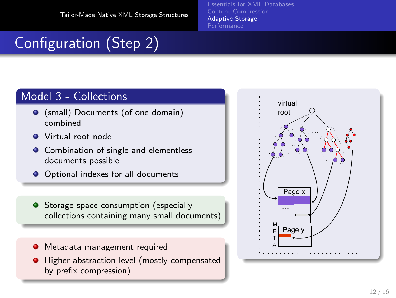[Essentials for XML Databases](#page-2-0) [Content Compression](#page-14-0) [Adaptive Storage](#page-21-0) **[Performance](#page-39-0)** 

# Configuration (Step 2)

#### Model 3 - Collections

- (small) Documents (of one domain) combined
- Virtual root node
- **O** Combination of single and elementless documents possible
- **O** Optional indexes for all documents
- Storage space consumption (especially collections containing many small documents)
- **O** Metadata management required
- **•** Higher abstraction level (mostly compensated by prefix compression)

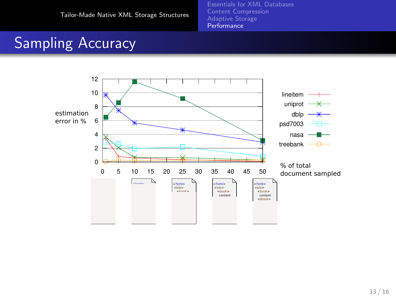## Sampling Accuracy

<span id="page-39-0"></span>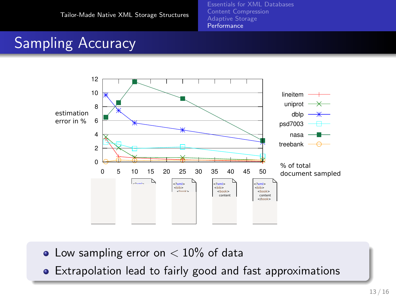## Sampling Accuracy



- Low sampling error on  $< 10\%$  of data
- <span id="page-40-0"></span>Extrapolation lead to fairly good and fast approximations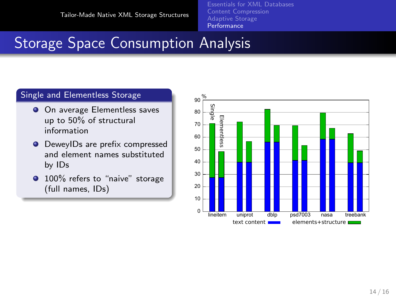## **Storage Space Consumption Analysis**

#### Single and Elementless Storage

- **O** On average Elementless saves up to 50% of structural information
- **O** DeweyIDs are prefix compressed and element names substituted by IDs
- **100%** refers to "naive" storage (full names, IDs)

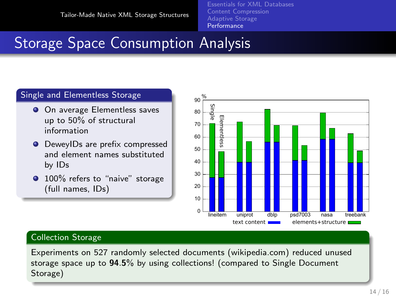## Storage Space Consumption Analysis

#### Single and Elementless Storage

- **O** On average Elementless saves up to 50% of structural information
- **O** DeweyIDs are prefix compressed and element names substituted by IDs
- **100%** refers to "naive" storage (full names, IDs)



#### Collection Storage

Experiments on 527 randomly selected documents (wikipedia.com) reduced unused storage space up to 94.5% by using collections! (compared to Single Document Storage)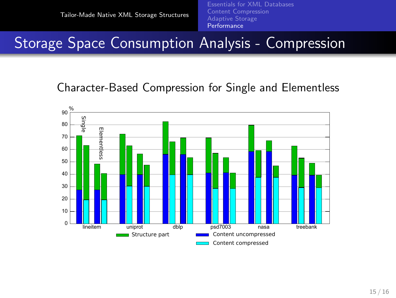[Essentials for XML Databases](#page-2-0) [Content Compression](#page-14-0) [Performance](#page-39-0)

## Storage Space Consumption Analysis - Compression

#### Character-Based Compression for Single and Elementless

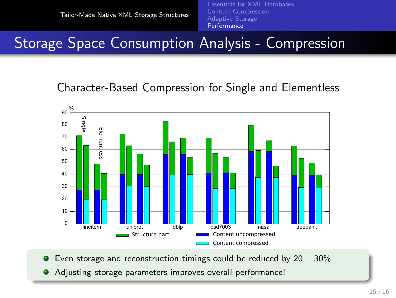[Essentials for XML Databases](#page-2-0) [Content Compression](#page-14-0) **[Performance](#page-39-0)** 

## Storage Space Consumption Analysis - Compression

#### Character-Based Compression for Single and Elementless



 $\bullet$ Even storage and reconstruction timings could be reduced by  $20 - 30\%$ 

Adjusting storage parameters improves overall performance!